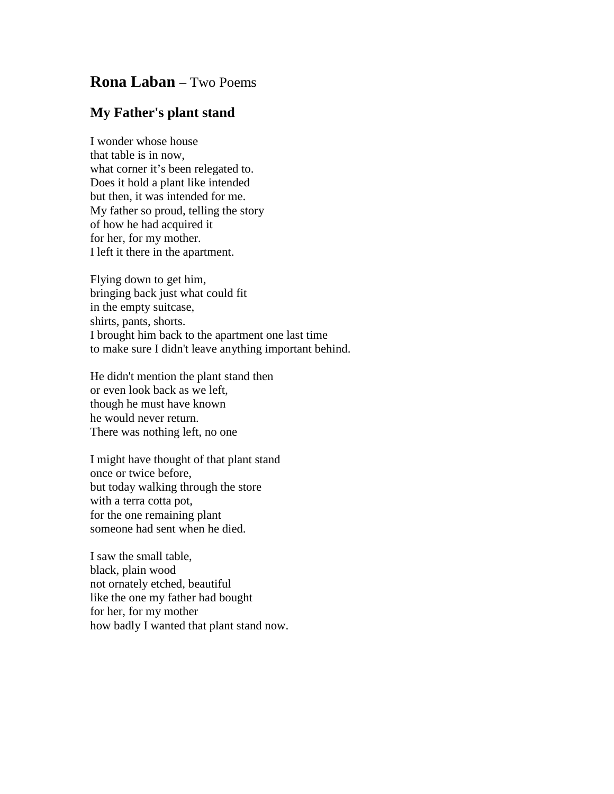## **Rona Laban** – Two Poems

## **My Father's plant stand**

I wonder whose house that table is in now, what corner it's been relegated to. Does it hold a plant like intended but then, it was intended for me. My father so proud, telling the story of how he had acquired it for her, for my mother. I left it there in the apartment.

Flying down to get him, bringing back just what could fit in the empty suitcase, shirts, pants, shorts. I brought him back to the apartment one last time to make sure I didn't leave anything important behind.

He didn't mention the plant stand then or even look back as we left, though he must have known he would never return. There was nothing left, no one

I might have thought of that plant stand once or twice before, but today walking through the store with a terra cotta pot, for the one remaining plant someone had sent when he died.

I saw the small table, black, plain wood not ornately etched, beautiful like the one my father had bought for her, for my mother how badly I wanted that plant stand now.